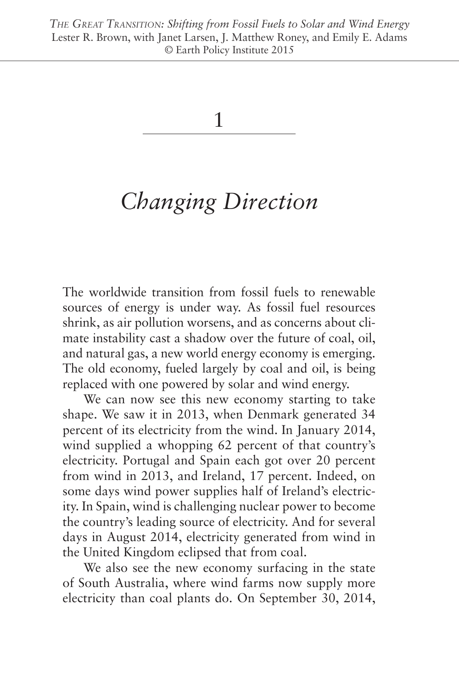1

## *Changing Direction*

The worldwide transition from fossil fuels to renewable sources of energy is under way. As fossil fuel resources shrink, as air pollution worsens, and as concerns about climate instability cast a shadow over the future of coal, oil, and natural gas, a new world energy economy is emerging. The old economy, fueled largely by coal and oil, is being replaced with one powered by solar and wind energy.

We can now see this new economy starting to take shape. We saw it in 2013, when Denmark generated 34 percent of its electricity from the wind. In January 2014, wind supplied a whopping 62 percent of that country's electricity. Portugal and Spain each got over 20 percent from wind in 2013, and Ireland, 17 percent. Indeed, on some days wind power supplies half of Ireland's electricity. In Spain, wind is challenging nuclear power to become the country's leading source of electricity. And for several days in August 2014, electricity generated from wind in the United Kingdom eclipsed that from coal.

We also see the new economy surfacing in the state of South Australia, where wind farms now supply more electricity than coal plants do. On September 30, 2014,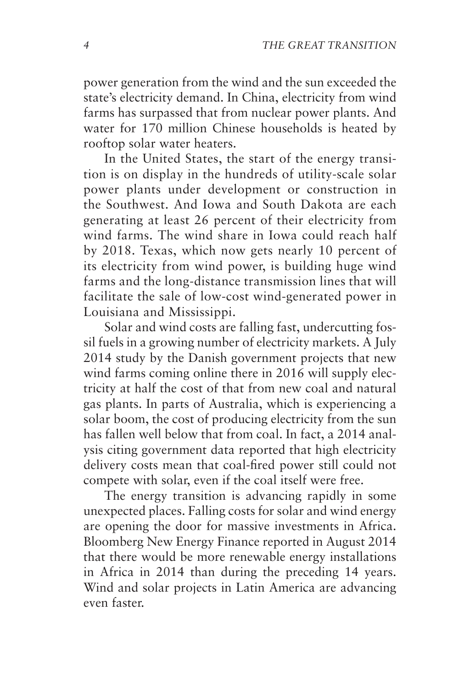power generation from the wind and the sun exceeded the state's electricity demand. In China, electricity from wind farms has surpassed that from nuclear power plants. And water for 170 million Chinese households is heated by rooftop solar water heaters.

In the United States, the start of the energy transition is on display in the hundreds of utility-scale solar power plants under development or construction in the Southwest. And Iowa and South Dakota are each generating at least 26 percent of their electricity from wind farms. The wind share in Iowa could reach half by 2018. Texas, which now gets nearly 10 percent of its electricity from wind power, is building huge wind farms and the long-distance transmission lines that will facilitate the sale of low-cost wind-generated power in Louisiana and Mississippi.

Solar and wind costs are falling fast, undercutting fossil fuels in a growing number of electricity markets. A July 2014 study by the Danish government projects that new wind farms coming online there in 2016 will supply electricity at half the cost of that from new coal and natural gas plants. In parts of Australia, which is experiencing a solar boom, the cost of producing electricity from the sun has fallen well below that from coal. In fact, a 2014 analysis citing government data reported that high electricity delivery costs mean that coal-fired power still could not compete with solar, even if the coal itself were free.

The energy transition is advancing rapidly in some unexpected places. Falling costs for solar and wind energy are opening the door for massive investments in Africa. Bloomberg New Energy Finance reported in August 2014 that there would be more renewable energy installations in Africa in 2014 than during the preceding 14 years. Wind and solar projects in Latin America are advancing even faster.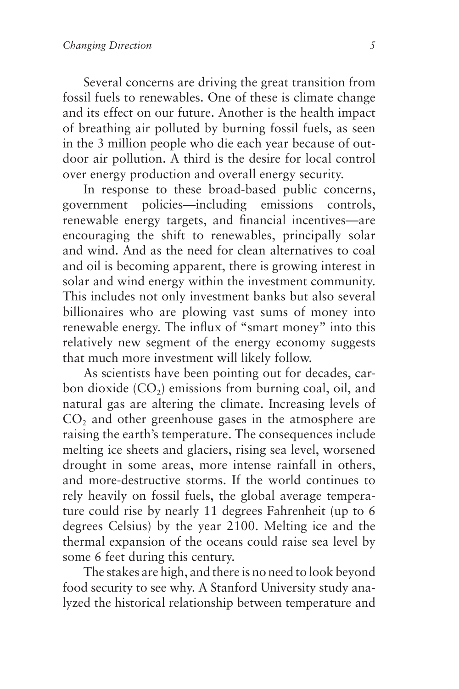Several concerns are driving the great transition from fossil fuels to renewables. One of these is climate change and its effect on our future. Another is the health impact of breathing air polluted by burning fossil fuels, as seen in the 3 million people who die each year because of outdoor air pollution. A third is the desire for local control over energy production and overall energy security.

In response to these broad-based public concerns, government policies—including emissions controls, renewable energy targets, and financial incentives—are encouraging the shift to renewables, principally solar and wind. And as the need for clean alternatives to coal and oil is becoming apparent, there is growing interest in solar and wind energy within the investment community. This includes not only investment banks but also several billionaires who are plowing vast sums of money into renewable energy. The influx of "smart money" into this relatively new segment of the energy economy suggests that much more investment will likely follow.

As scientists have been pointing out for decades, carbon dioxide  $(CO<sub>2</sub>)$  emissions from burning coal, oil, and natural gas are altering the climate. Increasing levels of CO<sub>2</sub> and other greenhouse gases in the atmosphere are raising the earth's temperature. The consequences include melting ice sheets and glaciers, rising sea level, worsened drought in some areas, more intense rainfall in others, and more-destructive storms. If the world continues to rely heavily on fossil fuels, the global average temperature could rise by nearly 11 degrees Fahrenheit (up to 6 degrees Celsius) by the year 2100. Melting ice and the thermal expansion of the oceans could raise sea level by some 6 feet during this century.

The stakes are high, and there is no need to look beyond food security to see why. A Stanford University study analyzed the historical relationship between temperature and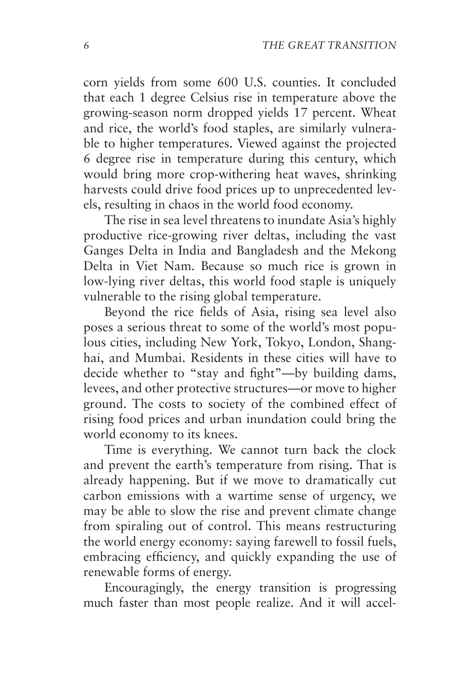corn yields from some 600 U.S. counties. It concluded that each 1 degree Celsius rise in temperature above the growing-season norm dropped yields 17 percent. Wheat and rice, the world's food staples, are similarly vulnerable to higher temperatures. Viewed against the projected 6 degree rise in temperature during this century, which would bring more crop-withering heat waves, shrinking harvests could drive food prices up to unprecedented levels, resulting in chaos in the world food economy.

The rise in sea level threatens to inundate Asia's highly productive rice-growing river deltas, including the vast Ganges Delta in India and Bangladesh and the Mekong Delta in Viet Nam. Because so much rice is grown in low-lying river deltas, this world food staple is uniquely vulnerable to the rising global temperature.

Beyond the rice fields of Asia, rising sea level also poses a serious threat to some of the world's most populous cities, including New York, Tokyo, London, Shanghai, and Mumbai. Residents in these cities will have to decide whether to "stay and fight"—by building dams, levees, and other protective structures—or move to higher ground. The costs to society of the combined effect of rising food prices and urban inundation could bring the world economy to its knees.

Time is everything. We cannot turn back the clock and prevent the earth's temperature from rising. That is already happening. But if we move to dramatically cut carbon emissions with a wartime sense of urgency, we may be able to slow the rise and prevent climate change from spiraling out of control. This means restructuring the world energy economy: saying farewell to fossil fuels, embracing efficiency, and quickly expanding the use of renewable forms of energy.

Encouragingly, the energy transition is progressing much faster than most people realize. And it will accel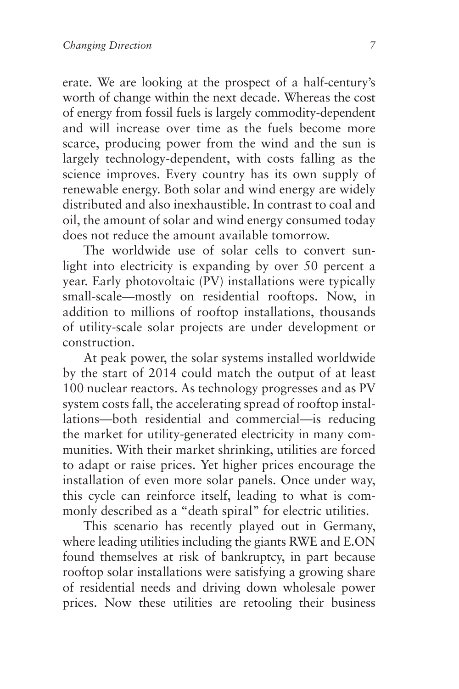erate. We are looking at the prospect of a half-century's worth of change within the next decade. Whereas the cost of energy from fossil fuels is largely commodity-dependent and will increase over time as the fuels become more scarce, producing power from the wind and the sun is largely technology-dependent, with costs falling as the science improves. Every country has its own supply of renewable energy. Both solar and wind energy are widely distributed and also inexhaustible. In contrast to coal and oil, the amount of solar and wind energy consumed today does not reduce the amount available tomorrow.

The worldwide use of solar cells to convert sunlight into electricity is expanding by over 50 percent a year. Early photovoltaic (PV) installations were typically small-scale—mostly on residential rooftops. Now, in addition to millions of rooftop installations, thousands of utility-scale solar projects are under development or construction.

At peak power, the solar systems installed worldwide by the start of 2014 could match the output of at least 100 nuclear reactors. As technology progresses and as PV system costs fall, the accelerating spread of rooftop installations—both residential and commercial—is reducing the market for utility-generated electricity in many communities. With their market shrinking, utilities are forced to adapt or raise prices. Yet higher prices encourage the installation of even more solar panels. Once under way, this cycle can reinforce itself, leading to what is commonly described as a "death spiral" for electric utilities.

This scenario has recently played out in Germany, where leading utilities including the giants RWE and E.ON found themselves at risk of bankruptcy, in part because rooftop solar installations were satisfying a growing share of residential needs and driving down wholesale power prices. Now these utilities are retooling their business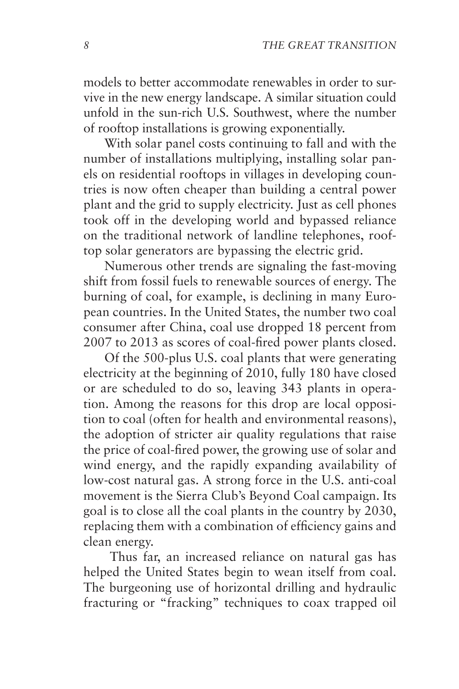models to better accommodate renewables in order to survive in the new energy landscape. A similar situation could unfold in the sun-rich U.S. Southwest, where the number of rooftop installations is growing exponentially.

With solar panel costs continuing to fall and with the number of installations multiplying, installing solar panels on residential rooftops in villages in developing countries is now often cheaper than building a central power plant and the grid to supply electricity. Just as cell phones took off in the developing world and bypassed reliance on the traditional network of landline telephones, rooftop solar generators are bypassing the electric grid.

Numerous other trends are signaling the fast-moving shift from fossil fuels to renewable sources of energy. The burning of coal, for example, is declining in many European countries. In the United States, the number two coal consumer after China, coal use dropped 18 percent from 2007 to 2013 as scores of coal-fired power plants closed.

Of the 500-plus U.S. coal plants that were generating electricity at the beginning of 2010, fully 180 have closed or are scheduled to do so, leaving 343 plants in operation. Among the reasons for this drop are local opposition to coal (often for health and environmental reasons), the adoption of stricter air quality regulations that raise the price of coal-fired power, the growing use of solar and wind energy, and the rapidly expanding availability of low-cost natural gas. A strong force in the U.S. anti-coal movement is the Sierra Club's Beyond Coal campaign. Its goal is to close all the coal plants in the country by 2030, replacing them with a combination of efficiency gains and clean energy.

 Thus far, an increased reliance on natural gas has helped the United States begin to wean itself from coal. The burgeoning use of horizontal drilling and hydraulic fracturing or "fracking" techniques to coax trapped oil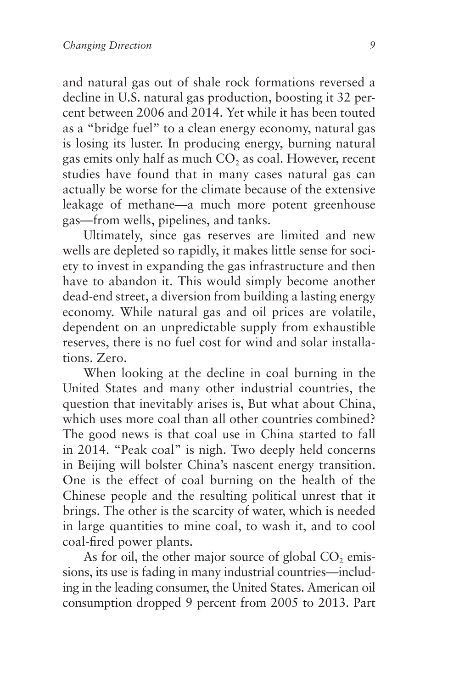and natural gas out of shale rock formations reversed a decline in U.S. natural gas production, boosting it 32 percent between 2006 and 2014. Yet while it has been touted as a "bridge fuel" to a clean energy economy, natural gas is losing its luster. In producing energy, burning natural gas emits only half as much  $CO<sub>2</sub>$  as coal. However, recent studies have found that in many cases natural gas can actually be worse for the climate because of the extensive leakage of methane—a much more potent greenhouse gas—from wells, pipelines, and tanks.

Ultimately, since gas reserves are limited and new wells are depleted so rapidly, it makes little sense for society to invest in expanding the gas infrastructure and then have to abandon it. This would simply become another dead-end street, a diversion from building a lasting energy economy. While natural gas and oil prices are volatile, dependent on an unpredictable supply from exhaustible reserves, there is no fuel cost for wind and solar installations. Zero.

When looking at the decline in coal burning in the United States and many other industrial countries, the question that inevitably arises is, But what about China, which uses more coal than all other countries combined? The good news is that coal use in China started to fall in 2014. "Peak coal" is nigh. Two deeply held concerns in Beijing will bolster China's nascent energy transition. One is the effect of coal burning on the health of the Chinese people and the resulting political unrest that it brings. The other is the scarcity of water, which is needed in large quantities to mine coal, to wash it, and to cool coal-fired power plants.

As for oil, the other major source of global  $CO<sub>2</sub>$  emissions, its use is fading in many industrial countries—including in the leading consumer, the United States. American oil consumption dropped 9 percent from 2005 to 2013. Part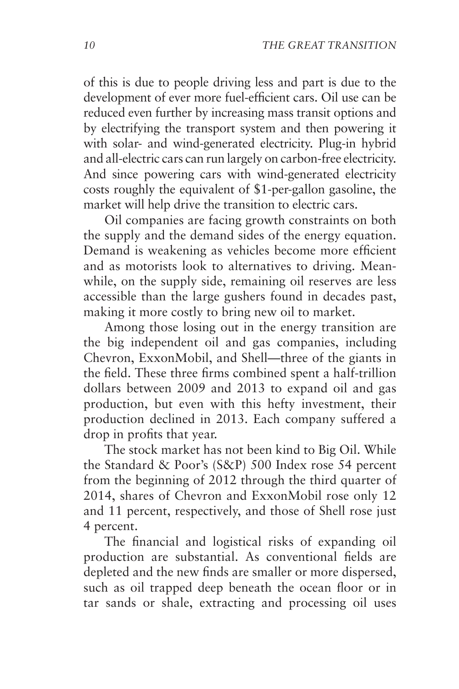of this is due to people driving less and part is due to the development of ever more fuel-efficient cars. Oil use can be reduced even further by increasing mass transit options and by electrifying the transport system and then powering it with solar- and wind-generated electricity. Plug-in hybrid and all-electric cars can run largely on carbon-free electricity. And since powering cars with wind-generated electricity costs roughly the equivalent of \$1-per-gallon gasoline, the market will help drive the transition to electric cars.

Oil companies are facing growth constraints on both the supply and the demand sides of the energy equation. Demand is weakening as vehicles become more efficient and as motorists look to alternatives to driving. Meanwhile, on the supply side, remaining oil reserves are less accessible than the large gushers found in decades past, making it more costly to bring new oil to market.

Among those losing out in the energy transition are the big independent oil and gas companies, including Chevron, ExxonMobil, and Shell—three of the giants in the field. These three firms combined spent a half-trillion dollars between 2009 and 2013 to expand oil and gas production, but even with this hefty investment, their production declined in 2013. Each company suffered a drop in profits that year.

The stock market has not been kind to Big Oil. While the Standard & Poor's (S&P) 500 Index rose 54 percent from the beginning of 2012 through the third quarter of 2014, shares of Chevron and ExxonMobil rose only 12 and 11 percent, respectively, and those of Shell rose just 4 percent.

The financial and logistical risks of expanding oil production are substantial. As conventional fields are depleted and the new finds are smaller or more dispersed, such as oil trapped deep beneath the ocean floor or in tar sands or shale, extracting and processing oil uses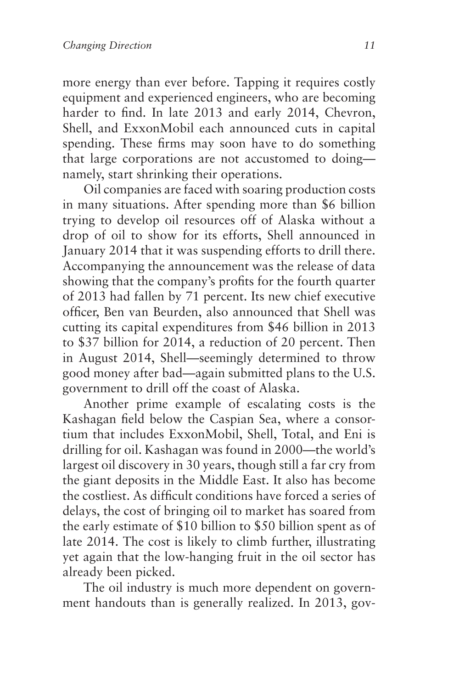more energy than ever before. Tapping it requires costly equipment and experienced engineers, who are becoming harder to find. In late 2013 and early 2014, Chevron, Shell, and ExxonMobil each announced cuts in capital spending. These firms may soon have to do something that large corporations are not accustomed to doing namely, start shrinking their operations.

Oil companies are faced with soaring production costs in many situations. After spending more than \$6 billion trying to develop oil resources off of Alaska without a drop of oil to show for its efforts, Shell announced in January 2014 that it was suspending efforts to drill there. Accompanying the announcement was the release of data showing that the company's profits for the fourth quarter of 2013 had fallen by 71 percent. Its new chief executive officer, Ben van Beurden, also announced that Shell was cutting its capital expenditures from \$46 billion in 2013 to \$37 billion for 2014, a reduction of 20 percent. Then in August 2014, Shell—seemingly determined to throw good money after bad—again submitted plans to the U.S. government to drill off the coast of Alaska.

Another prime example of escalating costs is the Kashagan field below the Caspian Sea, where a consortium that includes ExxonMobil, Shell, Total, and Eni is drilling for oil. Kashagan was found in 2000—the world's largest oil discovery in 30 years, though still a far cry from the giant deposits in the Middle East. It also has become the costliest. As difficult conditions have forced a series of delays, the cost of bringing oil to market has soared from the early estimate of \$10 billion to \$50 billion spent as of late 2014. The cost is likely to climb further, illustrating yet again that the low-hanging fruit in the oil sector has already been picked.

The oil industry is much more dependent on government handouts than is generally realized. In 2013, gov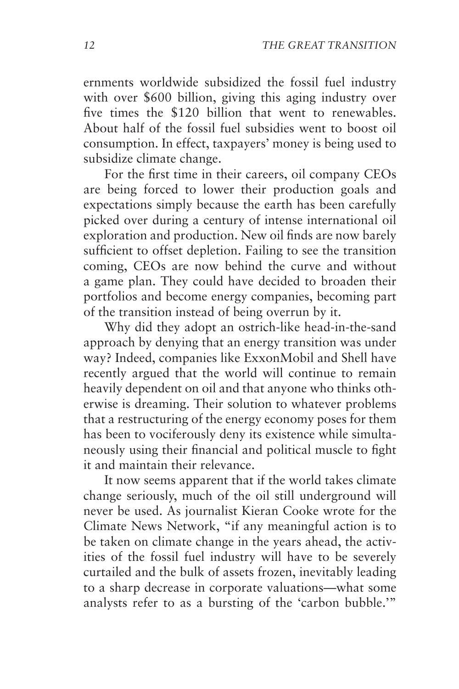ernments worldwide subsidized the fossil fuel industry with over \$600 billion, giving this aging industry over five times the \$120 billion that went to renewables. About half of the fossil fuel subsidies went to boost oil consumption. In effect, taxpayers' money is being used to subsidize climate change.

For the first time in their careers, oil company CEOs are being forced to lower their production goals and expectations simply because the earth has been carefully picked over during a century of intense international oil exploration and production. New oil finds are now barely sufficient to offset depletion. Failing to see the transition coming, CEOs are now behind the curve and without a game plan. They could have decided to broaden their portfolios and become energy companies, becoming part of the transition instead of being overrun by it.

Why did they adopt an ostrich-like head-in-the-sand approach by denying that an energy transition was under way? Indeed, companies like ExxonMobil and Shell have recently argued that the world will continue to remain heavily dependent on oil and that anyone who thinks otherwise is dreaming. Their solution to whatever problems that a restructuring of the energy economy poses for them has been to vociferously deny its existence while simultaneously using their financial and political muscle to fight it and maintain their relevance.

It now seems apparent that if the world takes climate change seriously, much of the oil still underground will never be used. As journalist Kieran Cooke wrote for the Climate News Network, "if any meaningful action is to be taken on climate change in the years ahead, the activities of the fossil fuel industry will have to be severely curtailed and the bulk of assets frozen, inevitably leading to a sharp decrease in corporate valuations—what some analysts refer to as a bursting of the 'carbon bubble.'"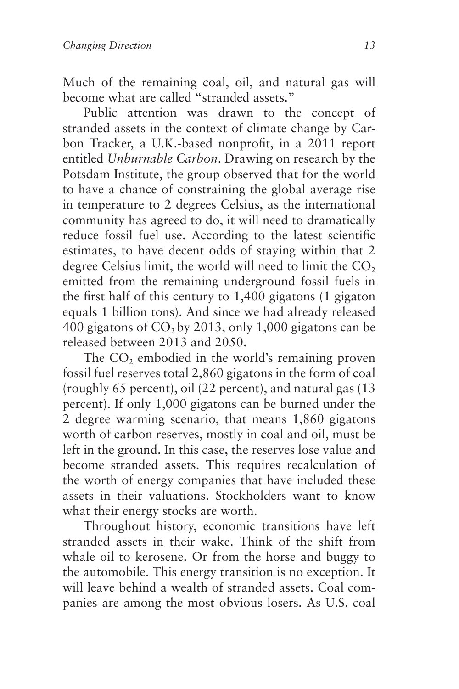Much of the remaining coal, oil, and natural gas will become what are called "stranded assets."

Public attention was drawn to the concept of stranded assets in the context of climate change by Carbon Tracker, a U.K.-based nonprofit, in a 2011 report entitled *Unburnable Carbon*. Drawing on research by the Potsdam Institute, the group observed that for the world to have a chance of constraining the global average rise in temperature to 2 degrees Celsius, as the international community has agreed to do, it will need to dramatically reduce fossil fuel use. According to the latest scientific estimates, to have decent odds of staying within that 2 degree Celsius limit, the world will need to limit the  $CO<sub>2</sub>$ emitted from the remaining underground fossil fuels in the first half of this century to 1,400 gigatons (1 gigaton equals 1 billion tons). And since we had already released 400 gigatons of  $CO$ , by 2013, only 1,000 gigatons can be released between 2013 and 2050.

The  $CO<sub>2</sub>$  embodied in the world's remaining proven fossil fuel reserves total 2,860 gigatons in the form of coal (roughly 65 percent), oil (22 percent), and natural gas (13 percent). If only 1,000 gigatons can be burned under the 2 degree warming scenario, that means 1,860 gigatons worth of carbon reserves, mostly in coal and oil, must be left in the ground. In this case, the reserves lose value and become stranded assets. This requires recalculation of the worth of energy companies that have included these assets in their valuations. Stockholders want to know what their energy stocks are worth.

Throughout history, economic transitions have left stranded assets in their wake. Think of the shift from whale oil to kerosene. Or from the horse and buggy to the automobile. This energy transition is no exception. It will leave behind a wealth of stranded assets. Coal companies are among the most obvious losers. As U.S. coal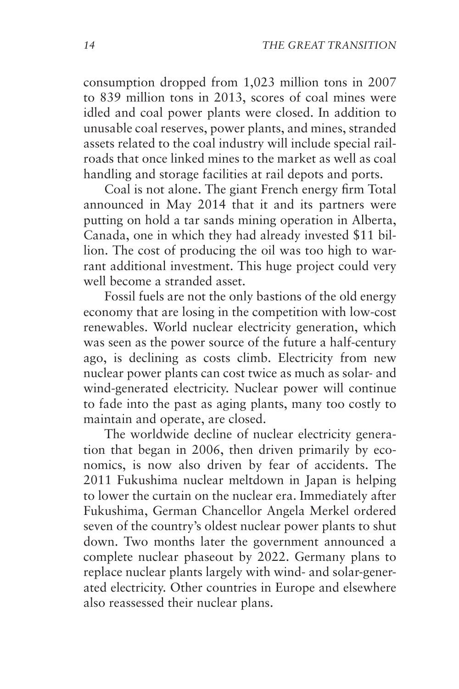consumption dropped from 1,023 million tons in 2007 to 839 million tons in 2013, scores of coal mines were idled and coal power plants were closed. In addition to unusable coal reserves, power plants, and mines, stranded assets related to the coal industry will include special railroads that once linked mines to the market as well as coal handling and storage facilities at rail depots and ports.

Coal is not alone. The giant French energy firm Total announced in May 2014 that it and its partners were putting on hold a tar sands mining operation in Alberta, Canada, one in which they had already invested \$11 billion. The cost of producing the oil was too high to warrant additional investment. This huge project could very well become a stranded asset.

Fossil fuels are not the only bastions of the old energy economy that are losing in the competition with low-cost renewables. World nuclear electricity generation, which was seen as the power source of the future a half-century ago, is declining as costs climb. Electricity from new nuclear power plants can cost twice as much as solar- and wind-generated electricity. Nuclear power will continue to fade into the past as aging plants, many too costly to maintain and operate, are closed.

The worldwide decline of nuclear electricity generation that began in 2006, then driven primarily by economics, is now also driven by fear of accidents. The 2011 Fukushima nuclear meltdown in Japan is helping to lower the curtain on the nuclear era. Immediately after Fukushima, German Chancellor Angela Merkel ordered seven of the country's oldest nuclear power plants to shut down. Two months later the government announced a complete nuclear phaseout by 2022. Germany plans to replace nuclear plants largely with wind- and solar-generated electricity. Other countries in Europe and elsewhere also reassessed their nuclear plans.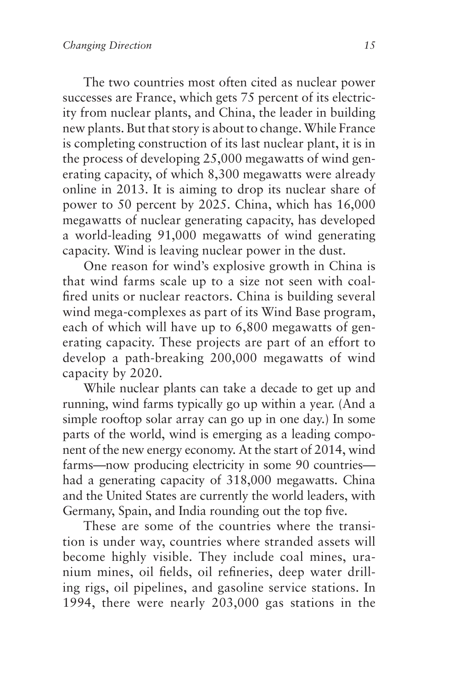The two countries most often cited as nuclear power successes are France, which gets 75 percent of its electricity from nuclear plants, and China, the leader in building new plants. But that story is about to change. While France is completing construction of its last nuclear plant, it is in the process of developing 25,000 megawatts of wind generating capacity, of which 8,300 megawatts were already online in 2013. It is aiming to drop its nuclear share of power to 50 percent by 2025. China, which has 16,000 megawatts of nuclear generating capacity, has developed a world-leading 91,000 megawatts of wind generating capacity. Wind is leaving nuclear power in the dust.

One reason for wind's explosive growth in China is that wind farms scale up to a size not seen with coalfired units or nuclear reactors. China is building several wind mega-complexes as part of its Wind Base program, each of which will have up to 6,800 megawatts of generating capacity. These projects are part of an effort to develop a path-breaking 200,000 megawatts of wind capacity by 2020.

While nuclear plants can take a decade to get up and running, wind farms typically go up within a year. (And a simple rooftop solar array can go up in one day.) In some parts of the world, wind is emerging as a leading component of the new energy economy. At the start of 2014, wind farms—now producing electricity in some 90 countries had a generating capacity of 318,000 megawatts. China and the United States are currently the world leaders, with Germany, Spain, and India rounding out the top five.

These are some of the countries where the transition is under way, countries where stranded assets will become highly visible. They include coal mines, uranium mines, oil fields, oil refineries, deep water drilling rigs, oil pipelines, and gasoline service stations. In 1994, there were nearly 203,000 gas stations in the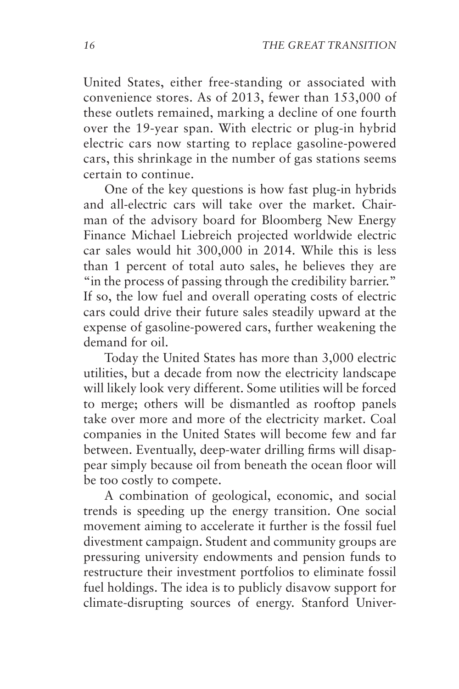United States, either free-standing or associated with convenience stores. As of 2013, fewer than 153,000 of these outlets remained, marking a decline of one fourth over the 19-year span. With electric or plug-in hybrid electric cars now starting to replace gasoline-powered cars, this shrinkage in the number of gas stations seems certain to continue.

One of the key questions is how fast plug-in hybrids and all-electric cars will take over the market. Chairman of the advisory board for Bloomberg New Energy Finance Michael Liebreich projected worldwide electric car sales would hit 300,000 in 2014. While this is less than 1 percent of total auto sales, he believes they are "in the process of passing through the credibility barrier." If so, the low fuel and overall operating costs of electric cars could drive their future sales steadily upward at the expense of gasoline-powered cars, further weakening the demand for oil.

Today the United States has more than 3,000 electric utilities, but a decade from now the electricity landscape will likely look very different. Some utilities will be forced to merge; others will be dismantled as rooftop panels take over more and more of the electricity market. Coal companies in the United States will become few and far between. Eventually, deep-water drilling firms will disappear simply because oil from beneath the ocean floor will be too costly to compete.

A combination of geological, economic, and social trends is speeding up the energy transition. One social movement aiming to accelerate it further is the fossil fuel divestment campaign. Student and community groups are pressuring university endowments and pension funds to restructure their investment portfolios to eliminate fossil fuel holdings. The idea is to publicly disavow support for climate-disrupting sources of energy. Stanford Univer-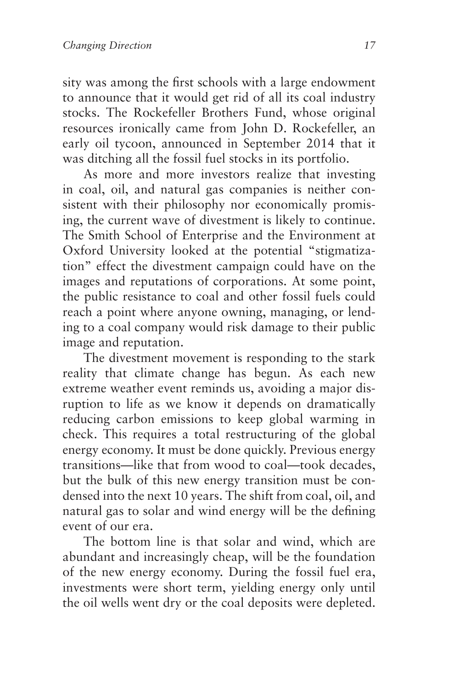sity was among the first schools with a large endowment to announce that it would get rid of all its coal industry stocks. The Rockefeller Brothers Fund, whose original resources ironically came from John D. Rockefeller, an early oil tycoon, announced in September 2014 that it was ditching all the fossil fuel stocks in its portfolio.

As more and more investors realize that investing in coal, oil, and natural gas companies is neither consistent with their philosophy nor economically promising, the current wave of divestment is likely to continue. The Smith School of Enterprise and the Environment at Oxford University looked at the potential "stigmatization" effect the divestment campaign could have on the images and reputations of corporations. At some point, the public resistance to coal and other fossil fuels could reach a point where anyone owning, managing, or lending to a coal company would risk damage to their public image and reputation.

The divestment movement is responding to the stark reality that climate change has begun. As each new extreme weather event reminds us, avoiding a major disruption to life as we know it depends on dramatically reducing carbon emissions to keep global warming in check. This requires a total restructuring of the global energy economy. It must be done quickly. Previous energy transitions—like that from wood to coal—took decades, but the bulk of this new energy transition must be condensed into the next 10 years. The shift from coal, oil, and natural gas to solar and wind energy will be the defining event of our era.

The bottom line is that solar and wind, which are abundant and increasingly cheap, will be the foundation of the new energy economy. During the fossil fuel era, investments were short term, yielding energy only until the oil wells went dry or the coal deposits were depleted.